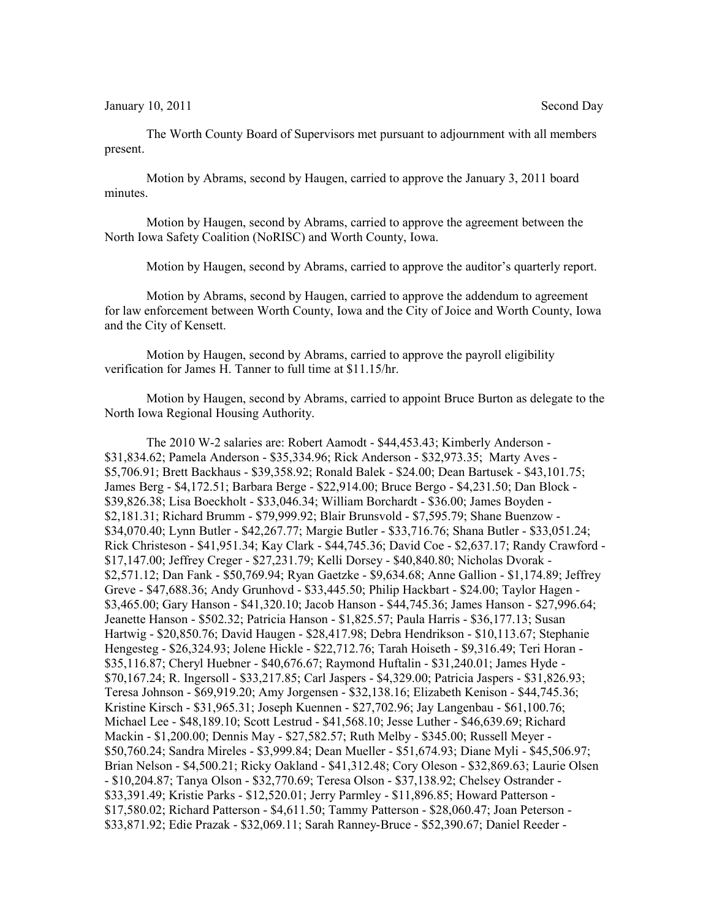January 10, 2011 Second Day

The Worth County Board of Supervisors met pursuant to adjournment with all members present.

Motion by Abrams, second by Haugen, carried to approve the January 3, 2011 board minutes.

Motion by Haugen, second by Abrams, carried to approve the agreement between the North Iowa Safety Coalition (NoRISC) and Worth County, Iowa.

Motion by Haugen, second by Abrams, carried to approve the auditor's quarterly report.

Motion by Abrams, second by Haugen, carried to approve the addendum to agreement for law enforcement between Worth County, Iowa and the City of Joice and Worth County, Iowa and the City of Kensett.

Motion by Haugen, second by Abrams, carried to approve the payroll eligibility verification for James H. Tanner to full time at \$11.15/hr.

Motion by Haugen, second by Abrams, carried to appoint Bruce Burton as delegate to the North Iowa Regional Housing Authority.

The 2010 W-2 salaries are: Robert Aamodt - \$44,453.43; Kimberly Anderson - \$31,834.62; Pamela Anderson - \$35,334.96; Rick Anderson - \$32,973.35; Marty Aves - \$5,706.91; Brett Backhaus - \$39,358.92; Ronald Balek - \$24.00; Dean Bartusek - \$43,101.75; James Berg - \$4,172.51; Barbara Berge - \$22,914.00; Bruce Bergo - \$4,231.50; Dan Block - \$39,826.38; Lisa Boeckholt - \$33,046.34; William Borchardt - \$36.00; James Boyden - \$2,181.31; Richard Brumm - \$79,999.92; Blair Brunsvold - \$7,595.79; Shane Buenzow - \$34,070.40; Lynn Butler - \$42,267.77; Margie Butler - \$33,716.76; Shana Butler - \$33,051.24; Rick Christeson - \$41,951.34; Kay Clark - \$44,745.36; David Coe - \$2,637.17; Randy Crawford - \$17,147.00; Jeffrey Creger - \$27,231.79; Kelli Dorsey - \$40,840.80; Nicholas Dvorak - \$2,571.12; Dan Fank - \$50,769.94; Ryan Gaetzke - \$9,634.68; Anne Gallion - \$1,174.89; Jeffrey Greve - \$47,688.36; Andy Grunhovd - \$33,445.50; Philip Hackbart - \$24.00; Taylor Hagen - \$3,465.00; Gary Hanson - \$41,320.10; Jacob Hanson - \$44,745.36; James Hanson - \$27,996.64; Jeanette Hanson - \$502.32; Patricia Hanson - \$1,825.57; Paula Harris - \$36,177.13; Susan Hartwig - \$20,850.76; David Haugen - \$28,417.98; Debra Hendrikson - \$10,113.67; Stephanie Hengesteg - \$26,324.93; Jolene Hickle - \$22,712.76; Tarah Hoiseth - \$9,316.49; Teri Horan - \$35,116.87; Cheryl Huebner - \$40,676.67; Raymond Huftalin - \$31,240.01; James Hyde - \$70,167.24; R. Ingersoll - \$33,217.85; Carl Jaspers - \$4,329.00; Patricia Jaspers - \$31,826.93; Teresa Johnson - \$69,919.20; Amy Jorgensen - \$32,138.16; Elizabeth Kenison - \$44,745.36; Kristine Kirsch - \$31,965.31; Joseph Kuennen - \$27,702.96; Jay Langenbau - \$61,100.76; Michael Lee - \$48,189.10; Scott Lestrud - \$41,568.10; Jesse Luther - \$46,639.69; Richard Mackin - \$1,200.00; Dennis May - \$27,582.57; Ruth Melby - \$345.00; Russell Meyer - \$50,760.24; Sandra Mireles - \$3,999.84; Dean Mueller - \$51,674.93; Diane Myli - \$45,506.97; Brian Nelson - \$4,500.21; Ricky Oakland - \$41,312.48; Cory Oleson - \$32,869.63; Laurie Olsen - \$10,204.87; Tanya Olson - \$32,770.69; Teresa Olson - \$37,138.92; Chelsey Ostrander - \$33,391.49; Kristie Parks - \$12,520.01; Jerry Parmley - \$11,896.85; Howard Patterson - \$17,580.02; Richard Patterson - \$4,611.50; Tammy Patterson - \$28,060.47; Joan Peterson - \$33,871.92; Edie Prazak - \$32,069.11; Sarah Ranney-Bruce - \$52,390.67; Daniel Reeder -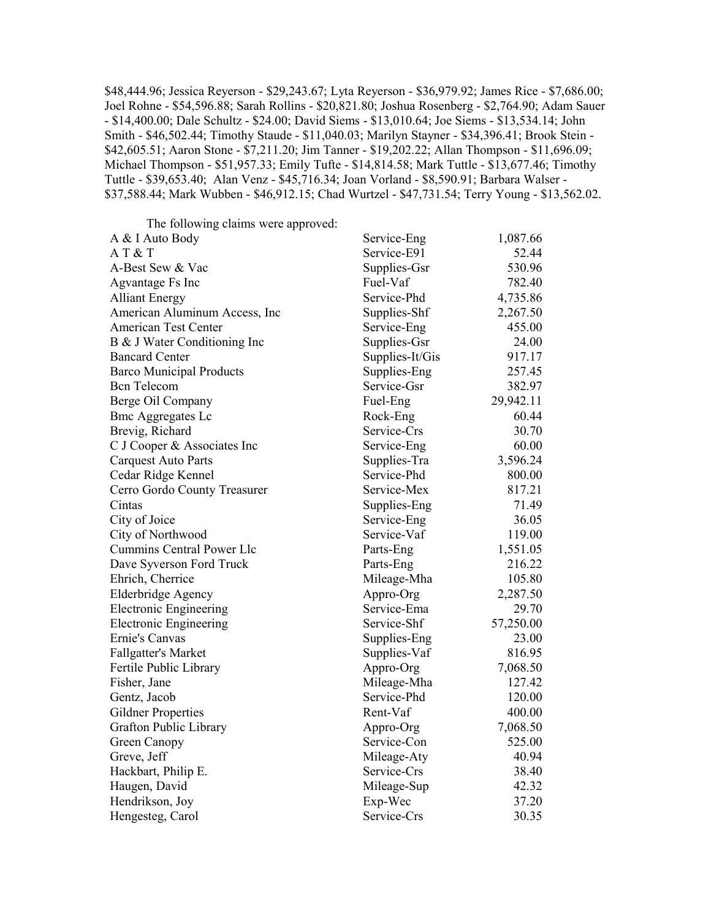\$48,444.96; Jessica Reyerson - \$29,243.67; Lyta Reyerson - \$36,979.92; James Rice - \$7,686.00; Joel Rohne - \$54,596.88; Sarah Rollins - \$20,821.80; Joshua Rosenberg - \$2,764.90; Adam Sauer - \$14,400.00; Dale Schultz - \$24.00; David Siems - \$13,010.64; Joe Siems - \$13,534.14; John Smith - \$46,502.44; Timothy Staude - \$11,040.03; Marilyn Stayner - \$34,396.41; Brook Stein - \$42,605.51; Aaron Stone - \$7,211.20; Jim Tanner - \$19,202.22; Allan Thompson - \$11,696.09; Michael Thompson - \$51,957.33; Emily Tufte - \$14,814.58; Mark Tuttle - \$13,677.46; Timothy Tuttle - \$39,653.40; Alan Venz - \$45,716.34; Joan Vorland - \$8,590.91; Barbara Walser - \$37,588.44; Mark Wubben - \$46,912.15; Chad Wurtzel - \$47,731.54; Terry Young - \$13,562.02.

The following claims were approved:

| A & I Auto Body                 | Service-Eng     | 1,087.66  |
|---------------------------------|-----------------|-----------|
| AT&T                            | Service-E91     | 52.44     |
| A-Best Sew & Vac                | Supplies-Gsr    | 530.96    |
| Agvantage Fs Inc                | Fuel-Vaf        | 782.40    |
| <b>Alliant Energy</b>           | Service-Phd     | 4,735.86  |
| American Aluminum Access, Inc   | Supplies-Shf    | 2,267.50  |
| American Test Center            | Service-Eng     | 455.00    |
| B & J Water Conditioning Inc    | Supplies-Gsr    | 24.00     |
| <b>Bancard Center</b>           | Supplies-It/Gis | 917.17    |
| <b>Barco Municipal Products</b> | Supplies-Eng    | 257.45    |
| <b>Bcn</b> Telecom              | Service-Gsr     | 382.97    |
| Berge Oil Company               | Fuel-Eng        | 29,942.11 |
| <b>Bmc Aggregates Lc</b>        | Rock-Eng        | 60.44     |
| Brevig, Richard                 | Service-Crs     | 30.70     |
| C J Cooper & Associates Inc     | Service-Eng     | 60.00     |
| <b>Carquest Auto Parts</b>      | Supplies-Tra    | 3,596.24  |
| Cedar Ridge Kennel              | Service-Phd     | 800.00    |
| Cerro Gordo County Treasurer    | Service-Mex     | 817.21    |
| Cintas                          | Supplies-Eng    | 71.49     |
| City of Joice                   | Service-Eng     | 36.05     |
| City of Northwood               | Service-Vaf     | 119.00    |
| Cummins Central Power Llc       | Parts-Eng       | 1,551.05  |
| Dave Syverson Ford Truck        | Parts-Eng       | 216.22    |
| Ehrich, Cherrice                | Mileage-Mha     | 105.80    |
| <b>Elderbridge Agency</b>       | Appro-Org       | 2,287.50  |
| <b>Electronic Engineering</b>   | Service-Ema     | 29.70     |
| <b>Electronic Engineering</b>   | Service-Shf     | 57,250.00 |
| Ernie's Canvas                  | Supplies-Eng    | 23.00     |
| Fallgatter's Market             | Supplies-Vaf    | 816.95    |
| Fertile Public Library          | Appro-Org       | 7,068.50  |
| Fisher, Jane                    | Mileage-Mha     | 127.42    |
| Gentz, Jacob                    | Service-Phd     | 120.00    |
| <b>Gildner Properties</b>       | Rent-Vaf        | 400.00    |
| Grafton Public Library          | Appro-Org       | 7,068.50  |
| Green Canopy                    | Service-Con     | 525.00    |
| Greve, Jeff                     | Mileage-Aty     | 40.94     |
| Hackbart, Philip E.             | Service-Crs     | 38.40     |
| Haugen, David                   | Mileage-Sup     | 42.32     |
| Hendrikson, Joy                 | Exp-Wec         | 37.20     |
| Hengesteg, Carol                | Service-Crs     | 30.35     |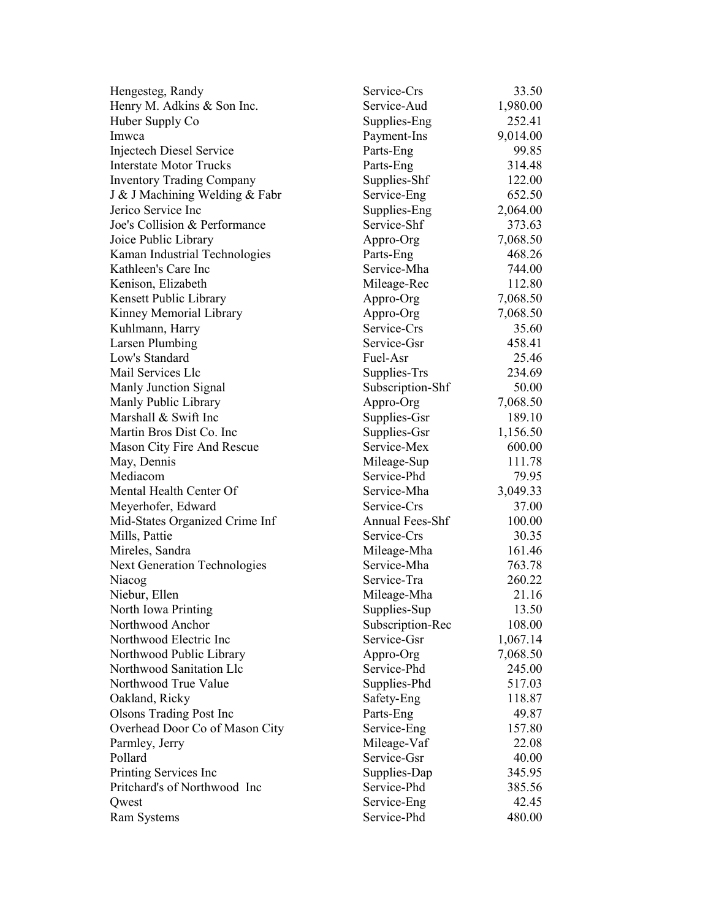| Hengesteg, Randy                    | Service-Crs      | 33.50    |
|-------------------------------------|------------------|----------|
| Henry M. Adkins & Son Inc.          | Service-Aud      | 1,980.00 |
| Huber Supply Co                     | Supplies-Eng     | 252.41   |
| Imwca                               | Payment-Ins      | 9,014.00 |
| <b>Injectech Diesel Service</b>     | Parts-Eng        | 99.85    |
| <b>Interstate Motor Trucks</b>      | Parts-Eng        | 314.48   |
| <b>Inventory Trading Company</b>    | Supplies-Shf     | 122.00   |
| J & J Machining Welding & Fabr      | Service-Eng      | 652.50   |
| Jerico Service Inc                  | Supplies-Eng     | 2,064.00 |
| Joe's Collision & Performance       | Service-Shf      | 373.63   |
| Joice Public Library                | Appro-Org        | 7,068.50 |
| Kaman Industrial Technologies       | Parts-Eng        | 468.26   |
| Kathleen's Care Inc                 | Service-Mha      | 744.00   |
| Kenison, Elizabeth                  | Mileage-Rec      | 112.80   |
| Kensett Public Library              | Appro-Org        | 7,068.50 |
| Kinney Memorial Library             | Appro-Org        | 7,068.50 |
| Kuhlmann, Harry                     | Service-Crs      | 35.60    |
| Larsen Plumbing                     | Service-Gsr      | 458.41   |
| Low's Standard                      | Fuel-Asr         | 25.46    |
| Mail Services Llc                   | Supplies-Trs     | 234.69   |
| Manly Junction Signal               | Subscription-Shf | 50.00    |
| Manly Public Library                | Appro-Org        | 7,068.50 |
| Marshall & Swift Inc                | Supplies-Gsr     | 189.10   |
| Martin Bros Dist Co. Inc.           | Supplies-Gsr     | 1,156.50 |
| Mason City Fire And Rescue          | Service-Mex      | 600.00   |
| May, Dennis                         | Mileage-Sup      | 111.78   |
| Mediacom                            | Service-Phd      | 79.95    |
| Mental Health Center Of             | Service-Mha      | 3,049.33 |
| Meyerhofer, Edward                  | Service-Crs      | 37.00    |
| Mid-States Organized Crime Inf      | Annual Fees-Shf  | 100.00   |
| Mills, Pattie                       | Service-Crs      | 30.35    |
| Mireles, Sandra                     | Mileage-Mha      | 161.46   |
| <b>Next Generation Technologies</b> | Service-Mha      | 763.78   |
| Niacog                              | Service-Tra      | 260.22   |
| Niebur, Ellen                       | Mileage-Mha      | 21.16    |
| North Iowa Printing                 | Supplies-Sup     | 13.50    |
| Northwood Anchor                    | Subscription-Rec | 108.00   |
| Northwood Electric Inc              | Service-Gsr      | 1,067.14 |
| Northwood Public Library            | Appro-Org        | 7,068.50 |
| Northwood Sanitation Llc            | Service-Phd      | 245.00   |
| Northwood True Value                | Supplies-Phd     | 517.03   |
| Oakland, Ricky                      | Safety-Eng       | 118.87   |
| <b>Olsons Trading Post Inc.</b>     | Parts-Eng        | 49.87    |
| Overhead Door Co of Mason City      | Service-Eng      | 157.80   |
| Parmley, Jerry                      | Mileage-Vaf      | 22.08    |
| Pollard                             | Service-Gsr      | 40.00    |
| Printing Services Inc               | Supplies-Dap     | 345.95   |
| Pritchard's of Northwood Inc        | Service-Phd      | 385.56   |
| Qwest                               | Service-Eng      | 42.45    |
| <b>Ram Systems</b>                  | Service-Phd      | 480.00   |
|                                     |                  |          |